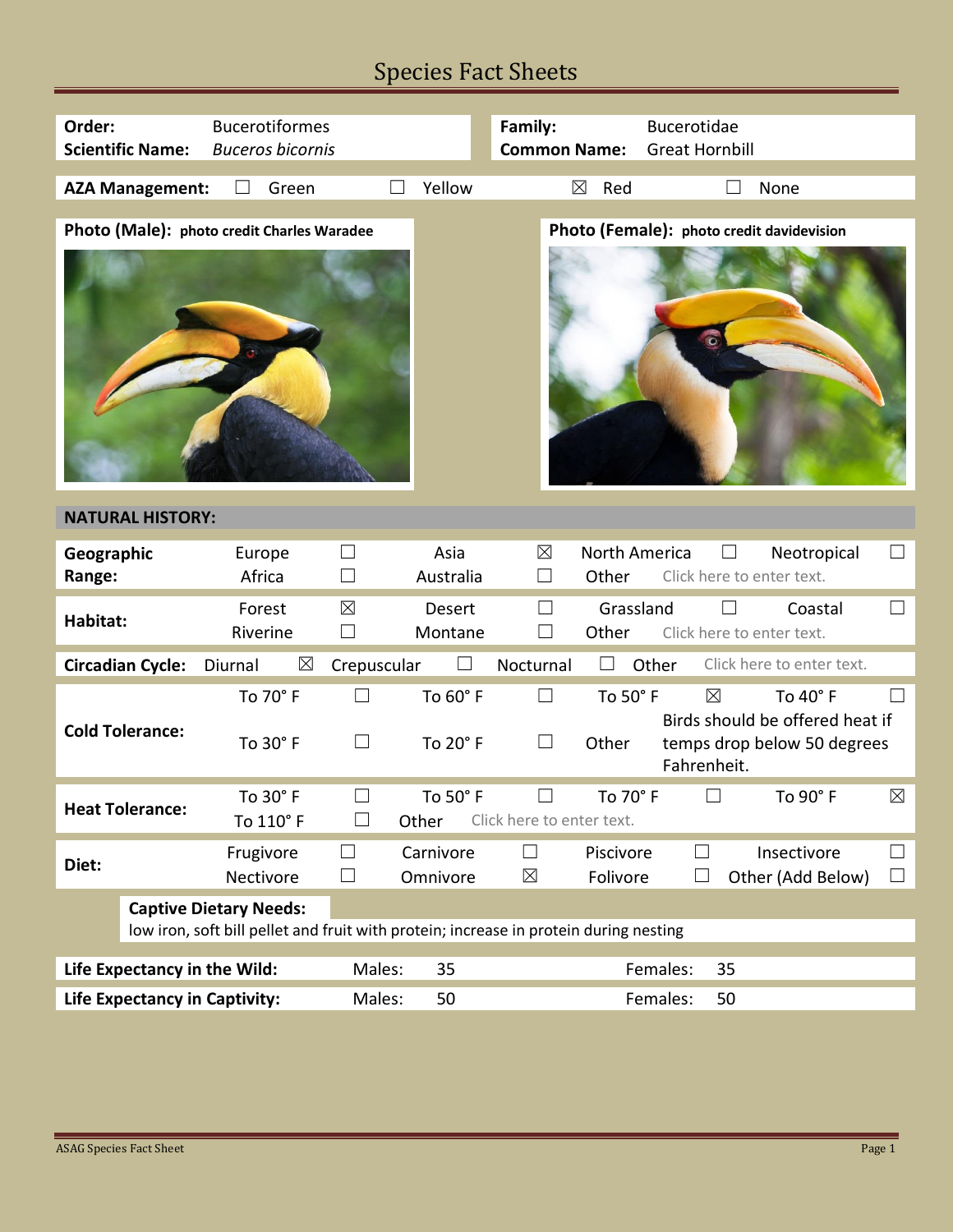## Species Fact Sheets

| Order:                               | <b>Scientific Name:</b>                                                               | <b>Bucerotiformes</b><br><b>Buceros bicornis</b> |                  |                       | Family:<br><b>Common Name:</b>   |                        | Bucerotidae<br><b>Great Hornbill</b>      |                                                                            |                   |
|--------------------------------------|---------------------------------------------------------------------------------------|--------------------------------------------------|------------------|-----------------------|----------------------------------|------------------------|-------------------------------------------|----------------------------------------------------------------------------|-------------------|
|                                      | <b>AZA Management:</b>                                                                | Green                                            |                  | Yellow                | $\boxtimes$                      | Red                    |                                           | None                                                                       |                   |
|                                      |                                                                                       | Photo (Male): photo credit Charles Waradee       |                  |                       |                                  |                        | Photo (Female): photo credit davidevision |                                                                            |                   |
|                                      | <b>NATURAL HISTORY:</b>                                                               |                                                  |                  |                       |                                  |                        |                                           |                                                                            |                   |
| Geographic<br>Range:                 |                                                                                       | Europe<br>Africa                                 | $\Box$<br>$\Box$ | Asia<br>Australia     | $\boxtimes$<br>$\vert \ \ \vert$ | North America<br>Other | $\Box$<br>Click here to enter text.       | Neotropical                                                                | ⊔                 |
| Habitat:                             |                                                                                       | Forest<br>Riverine                               | $\boxtimes$<br>П | Desert<br>Montane     | ⊔                                | Grassland<br>Other     | Click here to enter text.                 | Coastal                                                                    | $\vert \ \ \vert$ |
|                                      | <b>Circadian Cycle:</b>                                                               | Diurnal<br>$\boxtimes$                           | Crepuscular      |                       | Nocturnal                        |                        | Other                                     | Click here to enter text.                                                  |                   |
|                                      | <b>Cold Tolerance:</b>                                                                | To 70° F<br>To 30° F                             | $\Box$<br>$\Box$ | To 60° F<br>To 20° F  | $\Box$<br>$\Box$                 | To 50° F<br>Other      | $\boxtimes$<br>Fahrenheit.                | To 40° F<br>Birds should be offered heat if<br>temps drop below 50 degrees |                   |
|                                      | <b>Heat Tolerance:</b>                                                                | To 30° F<br>To 110° F                            |                  | To 50° F<br>Other     | Click here to enter text.        | To 70° F               | ⊔                                         | To 90° F                                                                   | $\boxtimes$       |
| Diet:                                |                                                                                       | Frugivore<br>Nectivore                           | $\Box$<br>$\Box$ | Carnivore<br>Omnivore | $\Box$<br>$\boxtimes$            | Piscivore<br>Folivore  | ⊔<br>$\Box$                               | Insectivore<br>Other (Add Below)                                           | $\Box$<br>$\Box$  |
| <b>Captive Dietary Needs:</b>        |                                                                                       |                                                  |                  |                       |                                  |                        |                                           |                                                                            |                   |
|                                      | low iron, soft bill pellet and fruit with protein; increase in protein during nesting |                                                  |                  |                       |                                  |                        |                                           |                                                                            |                   |
| Life Expectancy in the Wild:         |                                                                                       |                                                  | Males:           | 35                    | Females:<br>35                   |                        |                                           |                                                                            |                   |
| <b>Life Expectancy in Captivity:</b> |                                                                                       | Males:                                           | 50               |                       |                                  | Females:<br>50         |                                           |                                                                            |                   |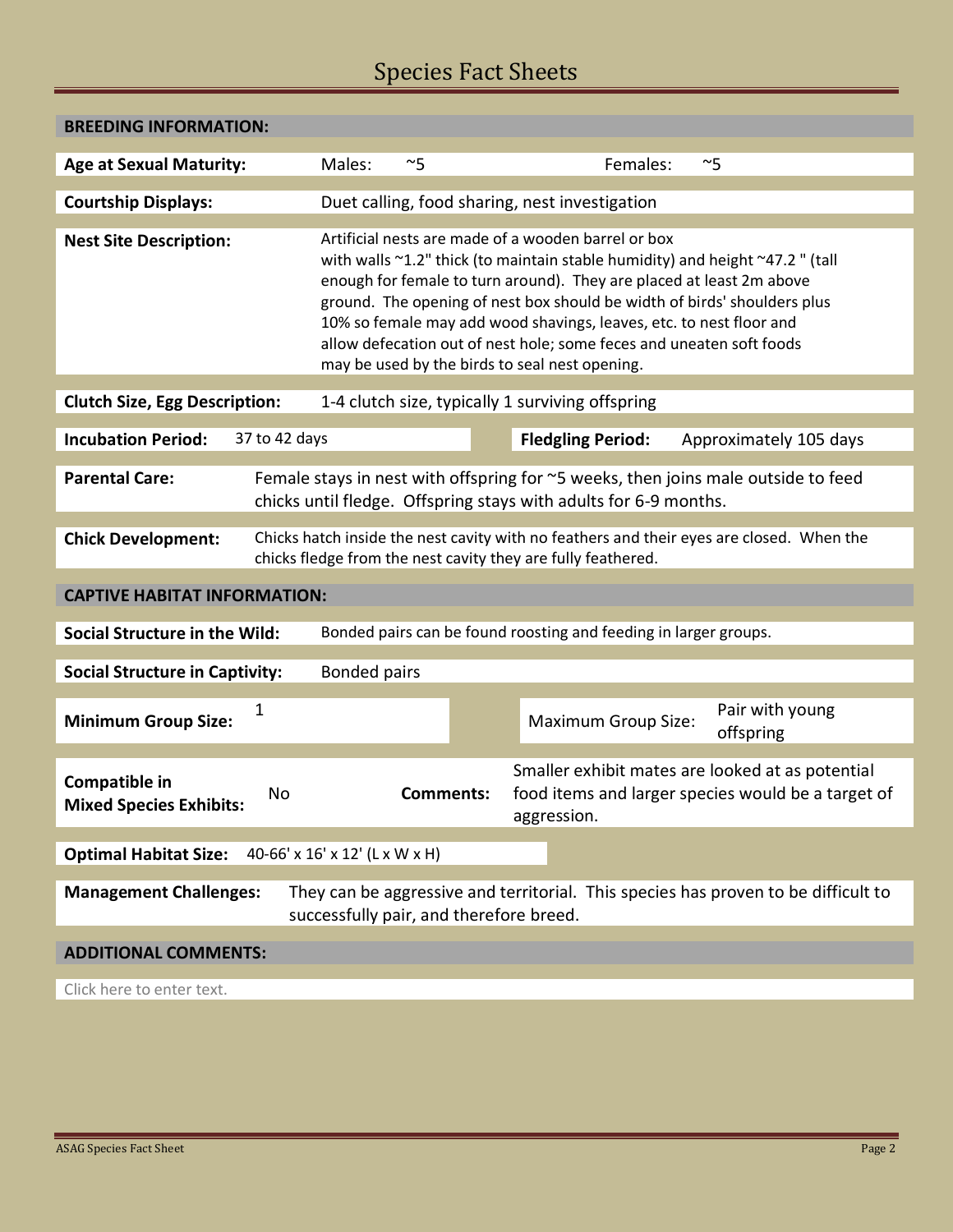## Species Fact Sheets

| <b>BREEDING INFORMATION:</b>                                                                                                                                                          |                                                                                                                                                                                                                                                                                                                                                                                                                                                                                          |                                                                                                                       |  |  |  |  |  |
|---------------------------------------------------------------------------------------------------------------------------------------------------------------------------------------|------------------------------------------------------------------------------------------------------------------------------------------------------------------------------------------------------------------------------------------------------------------------------------------------------------------------------------------------------------------------------------------------------------------------------------------------------------------------------------------|-----------------------------------------------------------------------------------------------------------------------|--|--|--|--|--|
| <b>Age at Sexual Maturity:</b>                                                                                                                                                        | Males:<br>$~\sim$ 5                                                                                                                                                                                                                                                                                                                                                                                                                                                                      | Females:<br>$~\sim$ 5                                                                                                 |  |  |  |  |  |
| <b>Courtship Displays:</b>                                                                                                                                                            | Duet calling, food sharing, nest investigation                                                                                                                                                                                                                                                                                                                                                                                                                                           |                                                                                                                       |  |  |  |  |  |
| <b>Nest Site Description:</b>                                                                                                                                                         | Artificial nests are made of a wooden barrel or box<br>with walls ~1.2" thick (to maintain stable humidity) and height ~47.2" (tall<br>enough for female to turn around). They are placed at least 2m above<br>ground. The opening of nest box should be width of birds' shoulders plus<br>10% so female may add wood shavings, leaves, etc. to nest floor and<br>allow defecation out of nest hole; some feces and uneaten soft foods<br>may be used by the birds to seal nest opening. |                                                                                                                       |  |  |  |  |  |
| 1-4 clutch size, typically 1 surviving offspring<br><b>Clutch Size, Egg Description:</b>                                                                                              |                                                                                                                                                                                                                                                                                                                                                                                                                                                                                          |                                                                                                                       |  |  |  |  |  |
| <b>Incubation Period:</b><br>37 to 42 days                                                                                                                                            |                                                                                                                                                                                                                                                                                                                                                                                                                                                                                          | <b>Fledgling Period:</b><br>Approximately 105 days                                                                    |  |  |  |  |  |
| Female stays in nest with offspring for ~5 weeks, then joins male outside to feed<br><b>Parental Care:</b><br>chicks until fledge. Offspring stays with adults for 6-9 months.        |                                                                                                                                                                                                                                                                                                                                                                                                                                                                                          |                                                                                                                       |  |  |  |  |  |
| Chicks hatch inside the nest cavity with no feathers and their eyes are closed. When the<br><b>Chick Development:</b><br>chicks fledge from the nest cavity they are fully feathered. |                                                                                                                                                                                                                                                                                                                                                                                                                                                                                          |                                                                                                                       |  |  |  |  |  |
| <b>CAPTIVE HABITAT INFORMATION:</b>                                                                                                                                                   |                                                                                                                                                                                                                                                                                                                                                                                                                                                                                          |                                                                                                                       |  |  |  |  |  |
| Bonded pairs can be found roosting and feeding in larger groups.<br><b>Social Structure in the Wild:</b>                                                                              |                                                                                                                                                                                                                                                                                                                                                                                                                                                                                          |                                                                                                                       |  |  |  |  |  |
| <b>Social Structure in Captivity:</b><br><b>Bonded pairs</b>                                                                                                                          |                                                                                                                                                                                                                                                                                                                                                                                                                                                                                          |                                                                                                                       |  |  |  |  |  |
| 1<br><b>Minimum Group Size:</b>                                                                                                                                                       |                                                                                                                                                                                                                                                                                                                                                                                                                                                                                          | Pair with young<br><b>Maximum Group Size:</b><br>offspring                                                            |  |  |  |  |  |
| Compatible in<br>No<br><b>Mixed Species Exhibits:</b>                                                                                                                                 | <b>Comments:</b>                                                                                                                                                                                                                                                                                                                                                                                                                                                                         | Smaller exhibit mates are looked at as potential<br>food items and larger species would be a target of<br>aggression. |  |  |  |  |  |
| <b>Optimal Habitat Size:</b>                                                                                                                                                          | 40-66' x 16' x 12' (L x W x H)                                                                                                                                                                                                                                                                                                                                                                                                                                                           |                                                                                                                       |  |  |  |  |  |
| <b>Management Challenges:</b><br>They can be aggressive and territorial. This species has proven to be difficult to<br>successfully pair, and therefore breed.                        |                                                                                                                                                                                                                                                                                                                                                                                                                                                                                          |                                                                                                                       |  |  |  |  |  |
|                                                                                                                                                                                       |                                                                                                                                                                                                                                                                                                                                                                                                                                                                                          |                                                                                                                       |  |  |  |  |  |
| <b>ADDITIONAL COMMENTS:</b>                                                                                                                                                           |                                                                                                                                                                                                                                                                                                                                                                                                                                                                                          |                                                                                                                       |  |  |  |  |  |